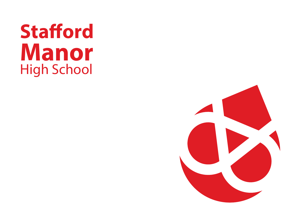# **Stafford Manor** High School

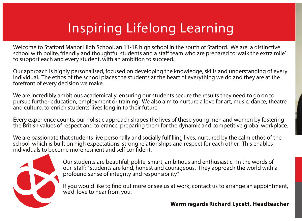## Inspiring Lifelong Learning

Welcome to Stafford Manor High School, an 11-18 high school in the south of Stafford. We are a distinctive school with polite, friendly and thoughtful students and a staff team who are prepared to 'walk the extra mile' to support each and every student, with an ambition to succeed.

Our approach is highly personalised, focused on developing the knowledge, skills and understanding of every individual. The ethos of the school places the students at the heart of everything we do and they are at the forefront of every decision we make.

We are incredibly ambitious academically, ensuring our students secure the results they need to go on to pursue further education, employment or training. We also aim to nurture a love for art, music, dance, theatre and culture, to enrich students' lives long in to their future.

Every experience counts, our holistic approach shapes the lives of these young men and women by fostering the British values of respect and tolerance, preparing them for the dynamic and competitive global workplace.

We are passionate that students live personally and socially fulfilling lives, nurtured by the calm ethos of the school, which is built on high expectations, strong relationships and respect for each other. This enables individuals to become more resilient and self confident.



Our students are beautiful, polite, smart, ambitious and enthusiastic. In the words of our staff: "Students are kind, honest and courageous. They approach the world with a profound sense of integrity and responsibility".

If you would like to find out more or see us at work, contact us to arrange an appointment, we'd love to hear from you.

#### **Warm regards Richard Lycett, Headteacher**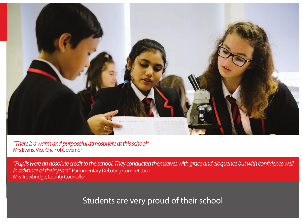

*"There is a warm and purposeful atmosphere at this school"*  Mrs Evans, Vice Chair of Governor

*"Pupils were an absolute credit to the school. They conducted themselves with grace and eloquence but with confidence well in advance of their years"* Parliamentary Debating Competittion Mrs Trowbridge, County Councillor

Students are very proud of their school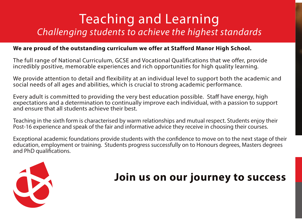### Teaching and Learning *Challenging students to achieve the highest standards*

#### **We are proud of the outstanding curriculum we offer at Stafford Manor High School.**

The full range of National Curriculum, GCSE and Vocational Qualifications that we offer, provide incredibly positive, memorable experiences and rich opportunities for high quality learning.

We provide attention to detail and flexibility at an individual level to support both the academic and social needs of all ages and abilities, which is crucial to strong academic performance.

Every adult is committed to providing the very best education possible. Staff have energy, high expectations and a determination to continually improve each individual, with a passion to support and ensure that all students achieve their best.

Teaching in the sixth form is characterised by warm relationships and mutual respect. Students enjoy their Post-16 experience and speak of the fair and informative advice they receive in choosing their courses.

Exceptional academic foundations provide students with the confidence to move on to the next stage of their education, employment or training. Students progress successfully on to Honours degrees, Masters degrees and PhD qualifications.



### **Join us on our journey to success**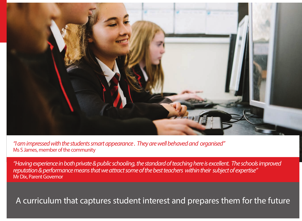

*"I am impressed with the students smart appearance . They are well behaved and organised"*  Ms S James, member of the community

*"Having experience in both private & public schooling, the standard of teaching here is excellent. The schools improved reputation & performance means that we attract some of the best teachers within their subject of expertise"*  Mr Dix, Parent Governor

A curriculum that captures student interest and prepares them for the future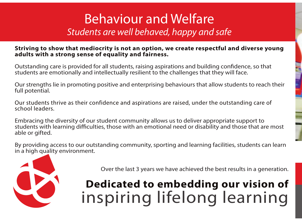### Behaviour and Welfare *Students are well behaved, happy and safe*

#### **Striving to show that mediocrity is not an option, we create respectful and diverse young adults with a strong sense of equality and fairness.**

Outstanding care is provided for all students, raising aspirations and building confidence, so that students are emotionally and intellectually resilient to the challenges that they will face.

Our strengths lie in promoting positive and enterprising behaviours that allow students to reach their full potential.

Our students thrive as their confidence and aspirations are raised, under the outstanding care of school leaders.

Embracing the diversity of our student community allows us to deliver appropriate support to students with learning difficulties, those with an emotional need or disability and those that are most able or gifted.

By providing access to our outstanding community, sporting and learning facilities, students can learn in a high quality environment.



Over the last 3 years we have achieved the best results in a generation.

## **Dedicated to embedding our vision of** inspiring lifelong learning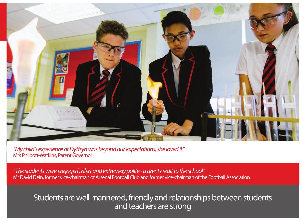

*"My child's experience at Dyffryn was beyond our expectations, she loved it"*  Mrs Philpott-Watkins, Parent Governor

*"The students were engaged , alert and extremely polite - a great credit to the school"*  Mr David Dein, former vice-chairman of Arsenal Football Club and former vice-chairman of the Football Association

### inspiring lifelong students are well mannered, friendly and relationships between students and teachers are strong